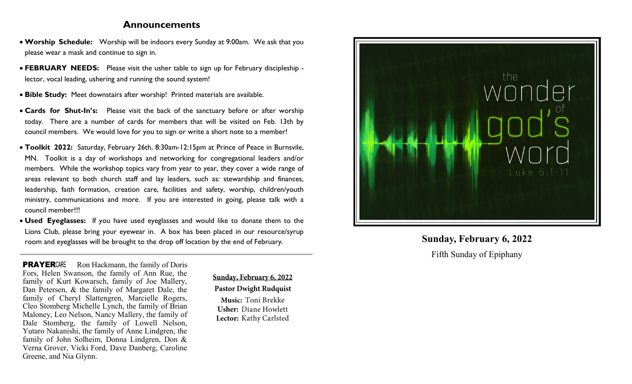# **Announcements**

- **Worship Schedule:** Worship will be indoors every Sunday at 9:00am. We ask that you please wear a mask and continue to sign in.
- **FEBRUARY NEEDS:** Please visit the usher table to sign up for February discipleship lector, vocal leading, ushering and running the sound system!
- **Bible Study:** Meet downstairs after worship! Printed materials are available.
- **Cards for Shut-In's:** Please visit the back of the sanctuary before or after worship today. There are a number of cards for members that will be visited on Feb. 13th by council members. We would love for you to sign or write a short note to a member!
- **Toolkit 2022:** Saturday, February 26th, 8:30am-12:15pm at Prince of Peace in Burnsvile, MN. Toolkit is a day of workshops and networking for congregational leaders and/or members. While the workshop topics vary from year to year, they cover a wide range of areas relevant to both church staff and lay leaders, such as: stewardship and finances, leadership, faith formation, creation care, facilities and safety, worship, children/youth ministry, communications and more. If you are interested in going, please talk with a council member!!!
- **Used Eyeglasses:** If you have used eyeglasses and would like to donate them to the Lions Club, please bring your eyewear in. A box has been placed in our resource/syrup room and eyeglasses will be brought to the drop off location by the end of February.

**PRAYER**CARE Ron Hackmann, the family of Doris Fors, Helen Swanson, the family of Ann Rue, the family of Kurt Kowarsch, family of Joe Mallery, Dan Petersen, & the family of Margaret Dale, the family of Cheryl Slattengren, Marcielle Rogers, Cleo Stomberg Michelle Lynch, the family of Brian Maloney, Leo Nelson, Nancy Mallery, the family of Dale Stomberg, the family of Lowell Nelson, Yutaro Nakanishi, the family of Anne Lindgren, the family of John Solheim, Donna Lindgren, Don & Verna Grover, Vicki Ford, Dave Danberg, Caroline Greene, and Nia Glynn.

Sunday, February 6, 2022 **Pastor Dwight Rudquist** 

Music: Toni Brekke **Usher: Diane Howlett** Lector: Kathy Carlsted



# **Sunday, February 6, 2022** Fifth Sunday of Epiphany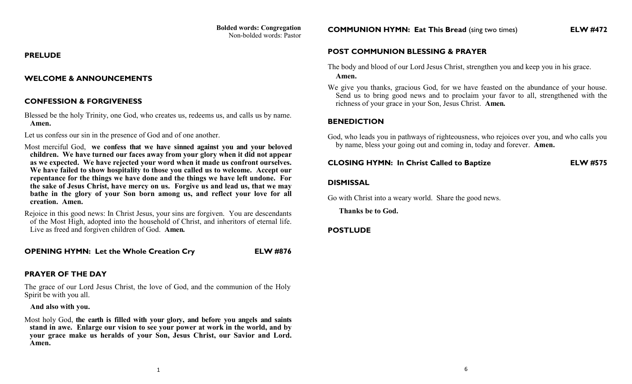#### **PRELUDE**

### **WELCOME & ANNOUNCEMENTS**

### **CONFESSION & FORGIVENESS**

Blessed be the holy Trinity, one God, who creates us, redeems us, and calls us by name. **Amen.** 

Let us confess our sin in the presence of God and of one another.

Most merciful God, **we confess that we have sinned against you and your beloved children. We have turned our faces away from your glory when it did not appear as we expected. We have rejected your word when it made us confront ourselves. We have failed to show hospitality to those you called us to welcome. Accept our repentance for the things we have done and the things we have left undone. For the sake of Jesus Christ, have mercy on us. Forgive us and lead us, that we may bathe in the glory of your Son born among us, and reflect your love for all creation. Amen.**

Rejoice in this good news: In Christ Jesus, your sins are forgiven. You are descendants of the Most High, adopted into the household of Christ, and inheritors of eternal life. Live as freed and forgiven children of God. **Amen.**

**OPENING HYMN: Let the Whole Creation Cry ELW #876**

# **PRAYER OF THE DAY**

The grace of our Lord Jesus Christ, the love of God, and the communion of the Holy Spirit be with you all.

 **And also with you.**

Most holy God, **the earth is filled with your glory, and before you angels and saints stand in awe. Enlarge our vision to see your power at work in the world, and by your grace make us heralds of your Son, Jesus Christ, our Savior and Lord. Amen.**

**COMMUNION HYMN: Eat This Bread** (sing two times) **ELW #472**

# **POST COMMUNION BLESSING & PRAYER**

- The body and blood of our Lord Jesus Christ, strengthen you and keep you in his grace. **Amen.**
- We give you thanks, gracious God, for we have feasted on the abundance of your house. Send us to bring good news and to proclaim your favor to all, strengthened with the richness of your grace in your Son, Jesus Christ. **Amen.**

# **BENEDICTION**

God, who leads you in pathways of righteousness, who rejoices over you, and who calls you by name, bless your going out and coming in, today and forever. **Amen.**

### **CLOSING HYMN: In Christ Called to Baptize ELW #575**

# **DISMISSAL**

Go with Christ into a weary world. Share the good news.

 **Thanks be to God.** 

# **POSTLUDE**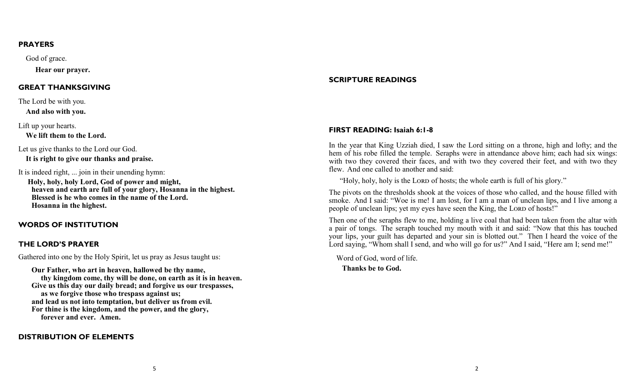#### **PRAYERS**

God of grace.

 **Hear our prayer.**

#### **GREAT THANKSGIVING**

The Lord be with you.  **And also with you.**

Lift up your hearts.

 **We lift them to the Lord.**

Let us give thanks to the Lord our God.

 **It is right to give our thanks and praise.**

It is indeed right, ... join in their unending hymn:

 **Holy, holy, holy Lord, God of power and might, heaven and earth are full of your glory, Hosanna in the highest. Blessed is he who comes in the name of the Lord. Hosanna in the highest.**

# **WORDS OF INSTITUTION**

### **THE LORD'S PRAYER**

Gathered into one by the Holy Spirit, let us pray as Jesus taught us:

 **Our Father, who art in heaven, hallowed be thy name, thy kingdom come, thy will be done, on earth as it is in heaven. Give us this day our daily bread; and forgive us our trespasses, as we forgive those who trespass against us; and lead us not into temptation, but deliver us from evil. For thine is the kingdom, and the power, and the glory, forever and ever. Amen.**

# **DISTRIBUTION OF ELEMENTS**

# **SCRIPTURE READINGS**

# **FIRST READING: Isaiah 6:1-8**

In the year that King Uzziah died, I saw the Lord sitting on a throne, high and lofty; and the hem of his robe filled the temple. Seraphs were in attendance above him; each had six wings: with two they covered their faces, and with two they covered their feet, and with two they flew. And one called to another and said:

"Holy, holy, holy is the LORD of hosts; the whole earth is full of his glory."

The pivots on the thresholds shook at the voices of those who called, and the house filled with smoke. And I said: "Woe is me! I am lost, for I am a man of unclean lips, and I live among a people of unclean lips; yet my eyes have seen the King, the LORD of hosts!"

Then one of the seraphs flew to me, holding a live coal that had been taken from the altar with a pair of tongs. The seraph touched my mouth with it and said: "Now that this has touched your lips, your guilt has departed and your sin is blotted out." Then I heard the voice of the Lord saying, "Whom shall I send, and who will go for us?" And I said, "Here am I; send me!"

 Word of God, word of life.  **Thanks be to God.**